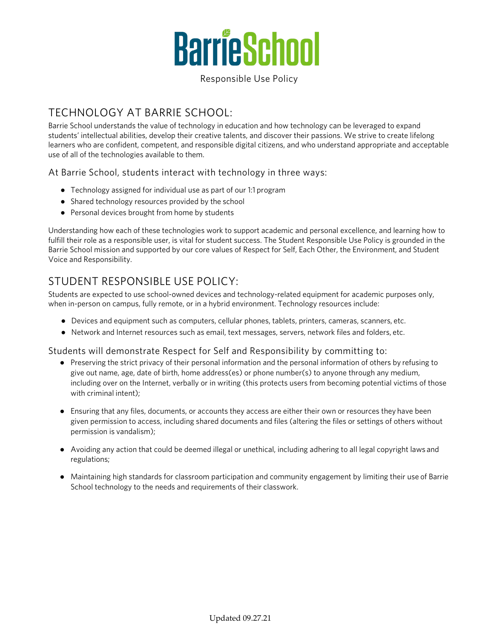

Responsible Use Policy

## TECHNOLOGY AT BARRIE SCHOOL:

Barrie School understands the value of technology in education and how technology can be leveraged to expand students' intellectual abilities, develop their creative talents, and discover their passions. We strive to create lifelong learners who are confident, competent, and responsible digital citizens, and who understand appropriate and acceptable use of all of the technologies available to them.

At Barrie School, students interact with technology in three ways:

- Technology assigned for individual use as part of our 1:1 program
- Shared technology resources provided by the school
- Personal devices brought from home by students

Understanding how each of these technologies work to support academic and personal excellence, and learning how to fulfill their role as a responsible user, is vital for student success. The Student Responsible Use Policy is grounded in the Barrie School mission and supported by our core values of Respect for Self, Each Other, the Environment, and Student Voice and Responsibility.

## STUDENT RESPONSIBLE USE POLICY:

Students are expected to use school-owned devices and technology-related equipment for academic purposes only, when in-person on campus, fully remote, or in a hybrid environment. Technology resources include:

- Devices and equipment such as computers, cellular phones, tablets, printers, cameras, scanners, etc.
- Network and Internet resources such as email, text messages, servers, network files and folders, etc.

#### Students will demonstrate Respect for Self and Responsibility by committing to:

- Preserving the strict privacy of their personal information and the personal information of others by refusing to give out name, age, date of birth, home address(es) or phone number(s) to anyone through any medium, including over on the Internet, verbally or in writing (this protects users from becoming potential victims of those with criminal intent);
- Ensuring that any files, documents, or accounts they access are either their own or resources they have been given permission to access, including shared documents and files (altering the files or settings of others without permission is vandalism);
- Avoiding any action that could be deemed illegal or unethical, including adhering to all legal copyright laws and regulations;
- Maintaining high standards for classroom participation and community engagement by limiting their use of Barrie School technology to the needs and requirements of their classwork.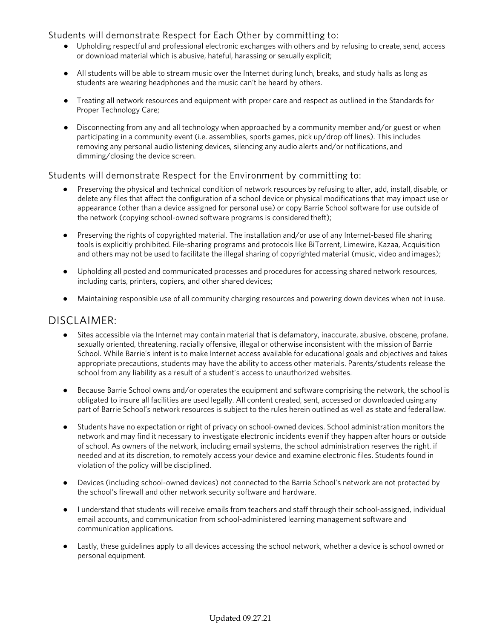Students will demonstrate Respect for Each Other by committing to:

- Upholding respectful and professional electronic exchanges with others and by refusing to create, send, access or download material which is abusive, hateful, harassing or sexually explicit;
- All students will be able to stream music over the Internet during lunch, breaks, and study halls as long as students are wearing headphones and the music can't be heard by others.
- Treating all network resources and equipment with proper care and respect as outlined in the Standards for Proper Technology Care;
- Disconnecting from any and all technology when approached by a community member and/or guest or when participating in a community event (i.e. assemblies, sports games, pick up/drop off lines). This includes removing any personal audio listening devices, silencing any audio alerts and/or notifications, and dimming/closing the device screen.

#### Students will demonstrate Respect for the Environment by committing to:

- Preserving the physical and technical condition of network resources by refusing to alter, add, install, disable, or delete any files that affect the configuration of a school device or physical modifications that may impact use or appearance (other than a device assigned for personal use) or copy Barrie School software for use outside of the network (copying school-owned software programs is considered theft);
- Preserving the rights of copyrighted material. The installation and/or use of any Internet-based file sharing tools is explicitly prohibited. File-sharing programs and protocols like BiTorrent, Limewire, Kazaa, Acquisition and others may not be used to facilitate the illegal sharing of copyrighted material (music, video and images);
- Upholding all posted and communicated processes and procedures for accessing shared network resources, including carts, printers, copiers, and other shared devices;
- Maintaining responsible use of all community charging resources and powering down devices when not in use.

### DISCLAIMER:

- Sites accessible via the Internet may contain material that is defamatory, inaccurate, abusive, obscene, profane, sexually oriented, threatening, racially offensive, illegal or otherwise inconsistent with the mission of Barrie School. While Barrie's intent is to make Internet access available for educational goals and objectives and takes appropriate precautions, students may have the ability to access other materials. Parents/students release the school from any liability as a result of a student's access to unauthorized websites.
- Because Barrie School owns and/or operates the equipment and software comprising the network, the school is obligated to insure all facilities are used legally. All content created, sent, accessed or downloaded using any part of Barrie School's network resources is subject to the rules herein outlined as well as state and federal law.
- Students have no expectation or right of privacy on school-owned devices. School administration monitors the network and may find it necessary to investigate electronic incidents even if they happen after hours or outside of school. As owners of the network, including email systems, the school administration reserves the right, if needed and at its discretion, to remotely access your device and examine electronic files. Students found in violation of the policy will be disciplined.
- Devices (including school-owned devices) not connected to the Barrie School's network are not protected by the school's firewall and other network security software and hardware.
- I understand that students will receive emails from teachers and staff through their school-assigned, individual email accounts, and communication from school-administered learning management software and communication applications.
- Lastly, these guidelines apply to all devices accessing the school network, whether a device is school owned or personal equipment.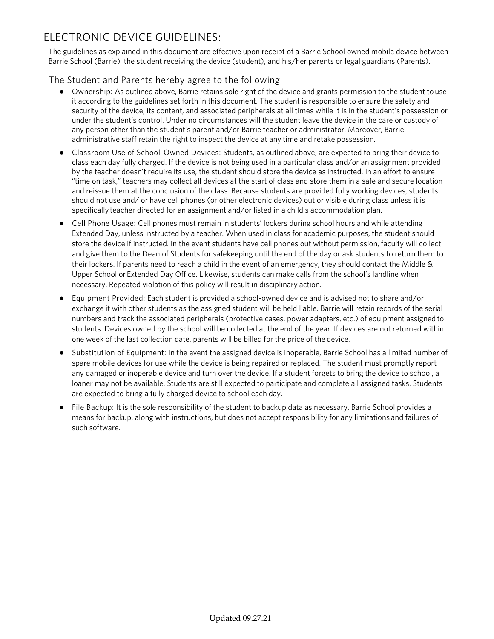# ELECTRONIC DEVICE GUIDELINES:

The guidelines as explained in this document are effective upon receipt of a Barrie School owned mobile device between Barrie School (Barrie), the student receiving the device (student), and his/her parents or legal guardians (Parents).

The Student and Parents hereby agree to the following:

- Ownership: As outlined above, Barrie retains sole right of the device and grants permission to the student to use it according to the guidelines set forth in this document. The student is responsible to ensure the safety and security of the device, its content, and associated peripherals at all times while it is in the student's possession or under the student's control. Under no circumstances will the student leave the device in the care or custody of any person other than the student's parent and/or Barrie teacher or administrator. Moreover, Barrie administrative staff retain the right to inspect the device at any time and retake possession.
- Classroom Use of School-Owned Devices: Students, as outlined above, are expected to bring their device to class each day fully charged. If the device is not being used in a particular class and/or an assignment provided by the teacher doesn't require its use, the student should store the device as instructed. In an effort to ensure "time on task," teachers may collect all devices at the start of class and store them in a safe and secure location and reissue them at the conclusion of the class. Because students are provided fully working devices, students should not use and/ or have cell phones (or other electronic devices) out or visible during class unless it is specifically teacher directed for an assignment and/or listed in a child's accommodation plan.
- Cell Phone Usage: Cell phones must remain in students' lockers during school hours and while attending Extended Day, unless instructed by a teacher. When used in class for academic purposes, the student should store the device if instructed. In the event students have cell phones out without permission, faculty will collect and give them to the Dean of Students for safekeeping until the end of the day or ask students to return them to their lockers. If parents need to reach a child in the event of an emergency, they should contact the Middle & Upper School or Extended Day Office. Likewise, students can make calls from the school's landline when necessary. Repeated violation of this policy will result in disciplinary action.
- Equipment Provided: Each student is provided a school-owned device and is advised not to share and/or exchange it with other students as the assigned student will be held liable. Barrie will retain records of the serial numbers and track the associated peripherals (protective cases, power adapters, etc.) of equipment assigned to students. Devices owned by the school will be collected at the end of the year. If devices are not returned within one week of the last collection date, parents will be billed for the price of the device.
- Substitution of Equipment: In the event the assigned device is inoperable, Barrie School has a limited number of spare mobile devices for use while the device is being repaired or replaced. The student must promptly report any damaged or inoperable device and turn over the device. If a student forgets to bring the device to school, a loaner may not be available. Students are still expected to participate and complete all assigned tasks. Students are expected to bring a fully charged device to school each day.
- File Backup: It is the sole responsibility of the student to backup data as necessary. Barrie School provides a means for backup, along with instructions, but does not accept responsibility for any limitations and failures of such software.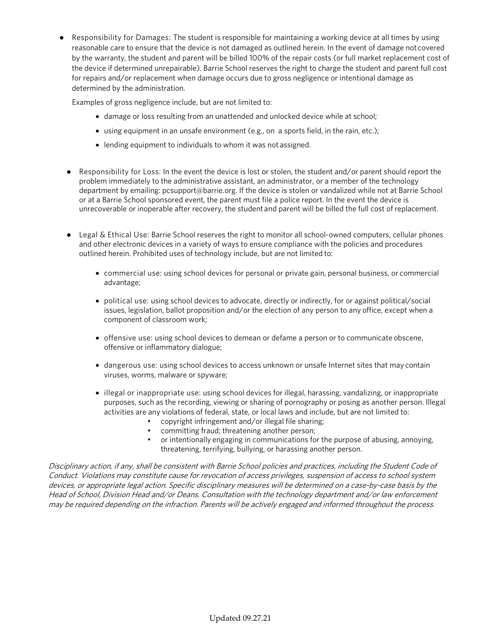● Responsibility for Damages: The student is responsible for maintaining a working device at all times by using reasonable care to ensure that the device is not damaged as outlined herein. In the event of damage not covered by the warranty, the student and parent will be billed 100% of the repair costs (or full market replacement cost of the device if determined unrepairable). Barrie School reserves the right to charge the student and parent full cost for repairs and/or replacement when damage occurs due to gross negligence or intentional damage as determined by the administration.

Examples of gross negligence include, but are not limited to:

- damage or loss resulting from an unattended and unlocked device while at school;
- using equipment in an unsafe environment (e.g., on a sports field, in the rain, etc.);
- lending equipment to individuals to whom it was not assigned.
- Responsibility for Loss: In the event the device is lost or stolen, the student and/or parent should report the problem immediately to the administrative assistant, an administrator, or a member of the technology department by emailing: pcsupport@barrie.org. If the device is stolen or vandalized while not at Barrie School or at a Barrie School sponsored event, the parent must file a police report. In the event the device is unrecoverable or inoperable after recovery, the student and parent will be billed the full cost of replacement.
- Legal & Ethical Use: Barrie School reserves the right to monitor all school-owned computers, cellular phones and other electronic devices in a variety of ways to ensure compliance with the policies and procedures outlined herein. Prohibited uses of technology include, but are not limited to:
	- commercial use: using school devices for personal or private gain, personal business, or commercial advantage;
	- political use: using school devices to advocate, directly or indirectly, for or against political/social issues, legislation, ballot proposition and/or the election of any person to any office, except when a component of classroom work;
	- offensive use: using school devices to demean or defame a person or to communicate obscene, offensive or inflammatory dialogue;
	- dangerous use: using school devices to access unknown or unsafe Internet sites that may contain viruses, worms, malware or spyware;
	- illegal or inappropriate use: using school devices for illegal, harassing, vandalizing, or inappropriate purposes, such as the recording, viewing or sharing of pornography or posing as another person. Illegal activities are any violations of federal, state, or local laws and include, but are not limited to:
		- copyright infringement and/or illegal file sharing;
		- committing fraud; threatening another person;
		- or intentionally engaging in communications for the purpose of abusing, annoying, threatening, terrifying, bullying, or harassing another person.

Disciplinary action, if any, shall be consistent with Barrie School policies and practices, including the Student Code of Conduct. Violations may constitute cause for revocation of access privileges, suspension of access to school system devices, or appropriate legal action. Specific disciplinary measures will be determined on a case-by-case basis by the Head of School, Division Head and/or Deans. Consultation with the technology department and/or law enforcement may be required depending on the infraction. Parents will be actively engaged and informed throughout the process.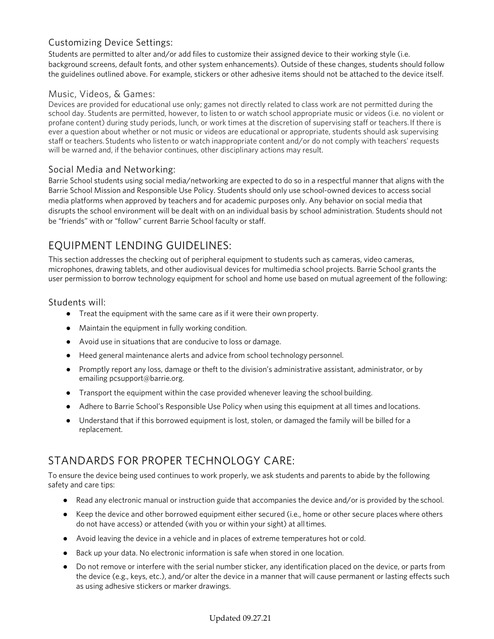### Customizing Device Settings:

Students are permitted to alter and/or add files to customize their assigned device to their working style (i.e. background screens, default fonts, and other system enhancements). Outside of these changes, students should follow the guidelines outlined above. For example, stickers or other adhesive items should not be attached to the device itself.

#### Music, Videos, & Games:

Devices are provided for educational use only; games not directly related to class work are not permitted during the school day. Students are permitted, however, to listen to or watch school appropriate music or videos (i.e. no violent or profane content) during study periods, lunch, or work times at the discretion of supervising staff or teachers.If there is ever a question about whether or not music or videos are educational or appropriate, students should ask supervising staff or teachers. Students who listen to or watch inappropriate content and/or do not comply with teachers' requests will be warned and, if the behavior continues, other disciplinary actions may result.

#### Social Media and Networking:

Barrie School students using social media/networking are expected to do so in a respectful manner that aligns with the Barrie School Mission and Responsible Use Policy. Students should only use school-owned devices to access social media platforms when approved by teachers and for academic purposes only. Any behavior on social media that disrupts the school environment will be dealt with on an individual basis by school administration. Students should not be "friends" with or "follow" current Barrie School faculty or staff.

### EQUIPMENT LENDING GUIDELINES:

This section addresses the checking out of peripheral equipment to students such as cameras, video cameras, microphones, drawing tablets, and other audiovisual devices for multimedia school projects. Barrie School grants the user permission to borrow technology equipment for school and home use based on mutual agreement of the following:

#### Students will:

- Treat the equipment with the same care as if it were their own property.
- Maintain the equipment in fully working condition.
- Avoid use in situations that are conducive to loss or damage.
- Heed general maintenance alerts and advice from school technology personnel.
- Promptly report any loss, damage or theft to the division's administrative assistant, administrator, or by emailing pcsupport@barrie.org.
- Transport the equipment within the case provided whenever leaving the school building.
- Adhere to Barrie School's Responsible Use Policy when using this equipment at all times and locations.
- Understand that if this borrowed equipment is lost, stolen, or damaged the family will be billed for a replacement.

### STANDARDS FOR PROPER TECHNOLOGY CARE:

To ensure the device being used continues to work properly, we ask students and parents to abide by the following safety and care tips:

- Read any electronic manual or instruction guide that accompanies the device and/or is provided by the school.
- Keep the device and other borrowed equipment either secured (i.e., home or other secure places where others do not have access) or attended (with you or within your sight) at alltimes.
- Avoid leaving the device in a vehicle and in places of extreme temperatures hot or cold.
- Back up your data. No electronic information is safe when stored in one location.
- Do not remove or interfere with the serial number sticker, any identification placed on the device, or parts from the device (e.g., keys, etc.), and/or alter the device in a manner that will cause permanent or lasting effects such as using adhesive stickers or marker drawings.